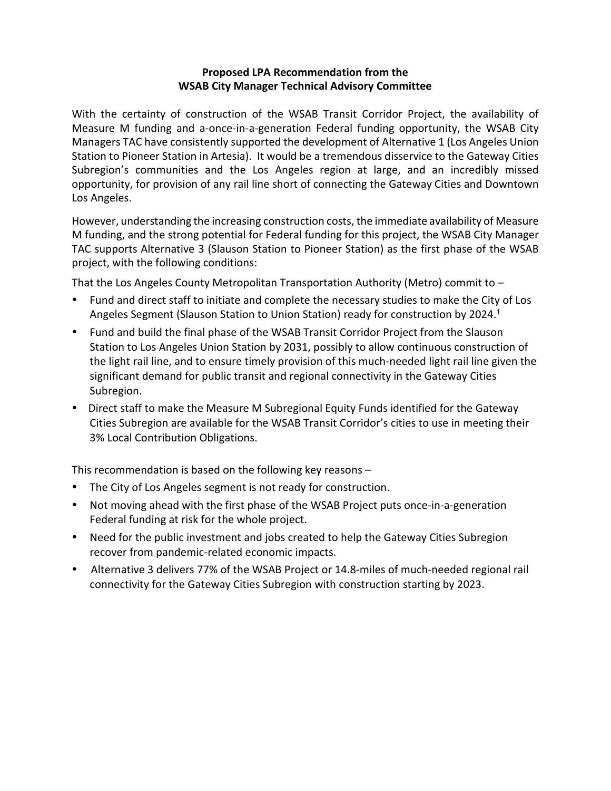#### **Proposed LPA Recommendation from the WSAB City Manager Technical Advisory Committee**

With the certainty of construction of the WSAB Transit Corridor Project, the availability of Measure M funding and a-once-in-a-generation Federal funding opportunity, the WSAB City Managers TAC have consistently supported the development of Alternative 1 (Los Angeles Union Station to Pioneer Station in Artesia). It would be a tremendous disservice to the Gateway Cities Subregion's communities and the Los Angeles region at large, and an incredibly missed opportunity, for provision of any rail line short of connecting the Gateway Cities and Downtown Los Angeles.

However, understanding the increasing construction costs, the immediate availability of Measure M funding, and the strong potential for Federal funding for this project, the WSAB City Manager TAC supports Alternative 3 (Slauson Station to Pioneer Station) as the first phase of the WSAB project, with the following conditions:

That the Los Angeles County Metropolitan Transportation Authority (Metro) commit to –

- Fund and direct staff to initiate and complete the necessary studies to make the City of Los Angeles Segment (Slauson Station to Union Station) ready for construction by 2024.<sup>1</sup>
- Fund and build the final phase of the WSAB Transit Corridor Project from the Slauson Station to Los Angeles Union Station by 2031, possibly to allow continuous construction of the light rail line, and to ensure timely provision of this much-needed light rail line given the significant demand for public transit and regional connectivity in the Gateway Cities Subregion.
- Direct staff to make the Measure M Subregional Equity Funds identified for the Gateway Cities Subregion are available for the WSAB Transit Corridor's cities to use in meeting their 3% Local Contribution Obligations.

This recommendation is based on the following key reasons –

- The City of Los Angeles segment is not ready for construction.
- Not moving ahead with the first phase of the WSAB Project puts once-in-a-generation Federal funding at risk for the whole project.
- Need for the public investment and jobs created to help the Gateway Cities Subregion recover from pandemic-related economic impacts.
- Alternative 3 delivers 77% of the WSAB Project or 14.8-miles of much-needed regional rail connectivity for the Gateway Cities Subregion with construction starting by 2023.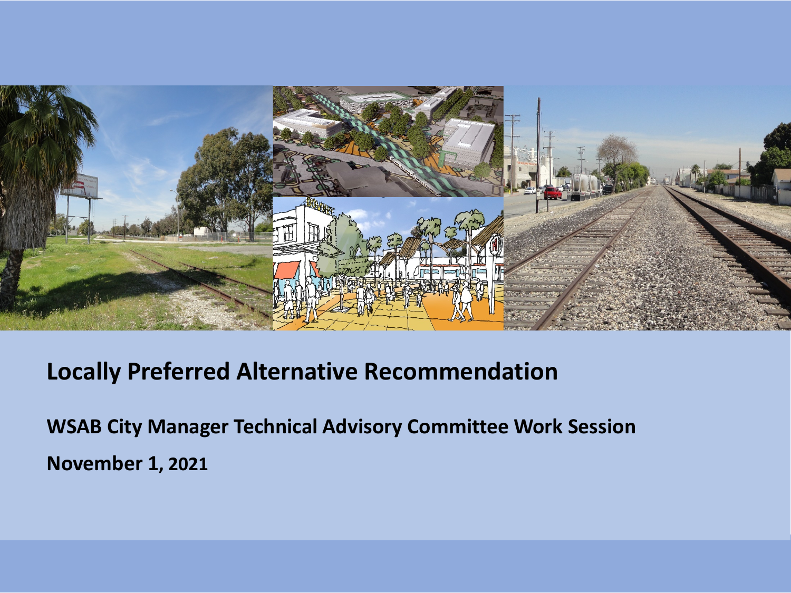

#### **Locally Preferred Alternative Recommendation**

**WSAB City Manager Technical Advisory Committee Work Session November 1, 2021**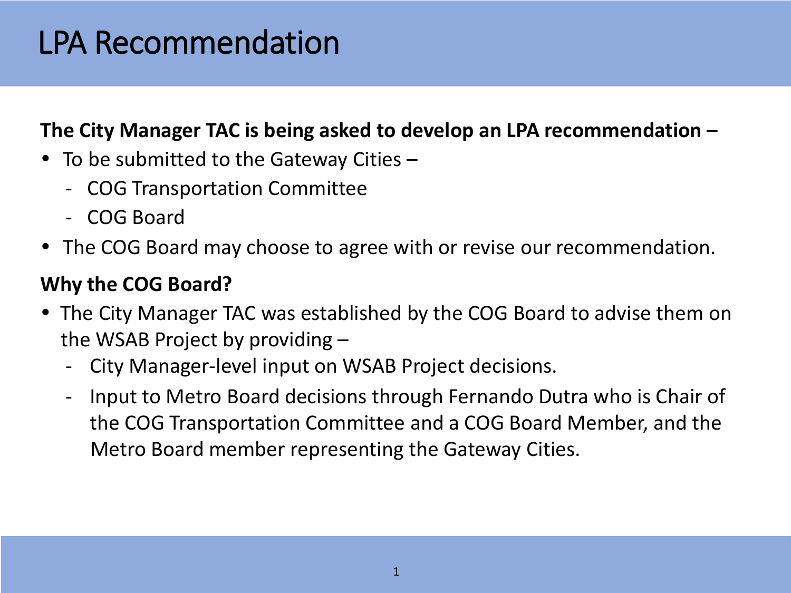# LPA Recommendation

#### **The City Manager TAC is being asked to develop an LPA recommendation** –

- To be submitted to the Gateway Cities  $-$ 
	- COG Transportation Committee
	- COG Board
- The COG Board may choose to agree with or revise our recommendation.

#### **Why the COG Board?**

- The City Manager TAC was established by the COG Board to advise them on the WSAB Project by providing –
	- City Manager-level input on WSAB Project decisions.
	- Input to Metro Board decisions through Fernando Dutra who is Chair of the COG Transportation Committee and a COG Board Member, and the Metro Board member representing the Gateway Cities.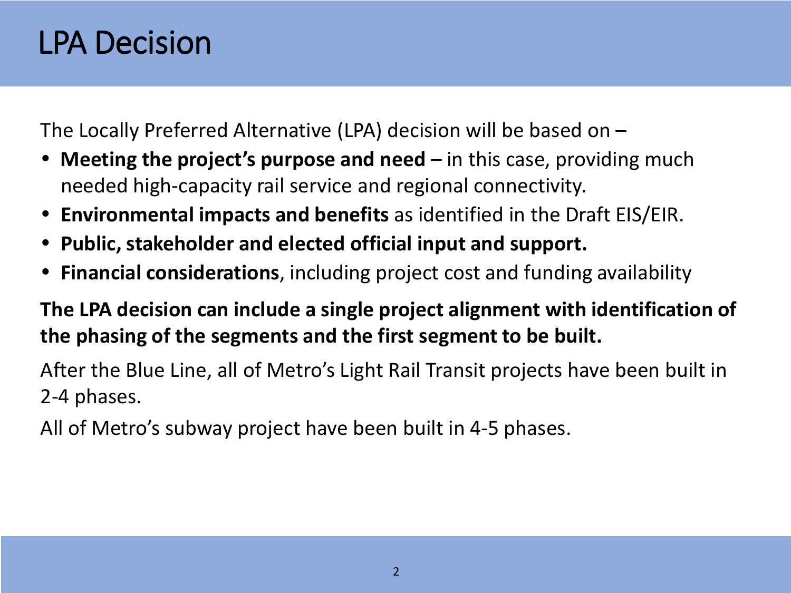### LPA Decision

The Locally Preferred Alternative (LPA) decision will be based on –

- **Meeting the project's purpose and need** in this case, providing much needed high-capacity rail service and regional connectivity.
- **Environmental impacts and benefits** as identified in the Draft EIS/EIR.
- **Public, stakeholder and elected official input and support.**
- **Financial considerations**, including project cost and funding availability

**The LPA decision can include a single project alignment with identification of the phasing of the segments and the first segment to be built.**

After the Blue Line, all of Metro's Light Rail Transit projects have been built in 2-4 phases.

All of Metro's subway project have been built in 4-5 phases.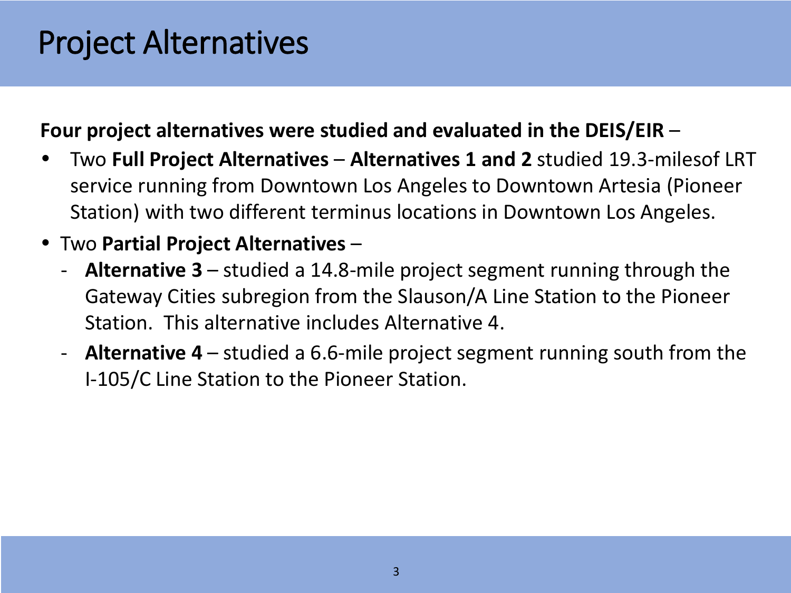# Project Alternatives

#### **Four project alternatives were studied and evaluated in the DEIS/EIR** –

- Two **Full Project Alternatives Alternatives 1 and 2** studied 19.3-milesof LRT service running from Downtown Los Angeles to Downtown Artesia (Pioneer Station) with two different terminus locations in Downtown Los Angeles.
- Two **Partial Project Alternatives** 
	- **Alternative 3**  studied a 14.8-mile project segment running through the Gateway Cities subregion from the Slauson/A Line Station to the Pioneer Station. This alternative includes Alternative 4.
	- **Alternative 4** studied a 6.6-mile project segment running south from the I-105/C Line Station to the Pioneer Station.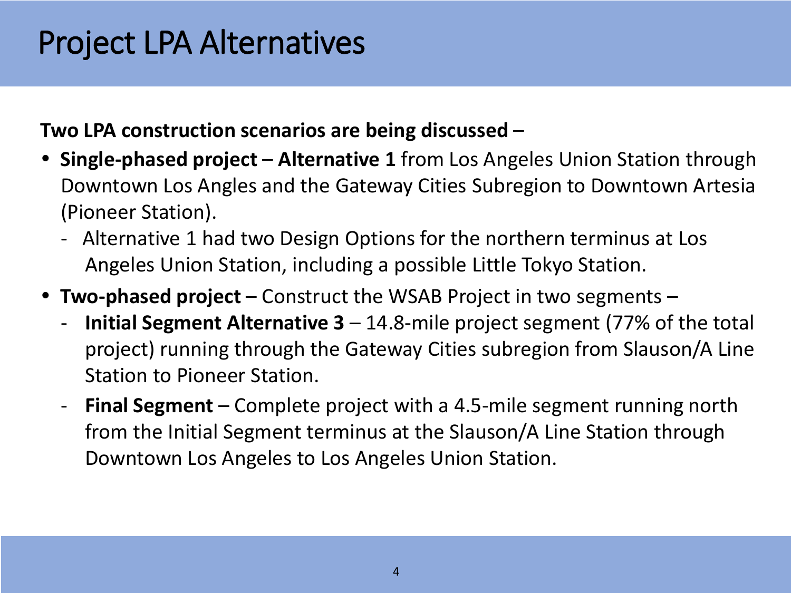# Project LPA Alternatives

#### **Two LPA construction scenarios are being discussed** –

- **Single-phased project Alternative 1** from Los Angeles Union Station through Downtown Los Angles and the Gateway Cities Subregion to Downtown Artesia (Pioneer Station).
	- Alternative 1 had two Design Options for the northern terminus at Los Angeles Union Station, including a possible Little Tokyo Station.
- **Two-phased project** Construct the WSAB Project in two segments
	- **Initial Segment Alternative 3**  14.8-mile project segment (77% of the total project) running through the Gateway Cities subregion from Slauson/A Line Station to Pioneer Station.
	- **Final Segment** Complete project with a 4.5-mile segment running north from the Initial Segment terminus at the Slauson/A Line Station through Downtown Los Angeles to Los Angeles Union Station.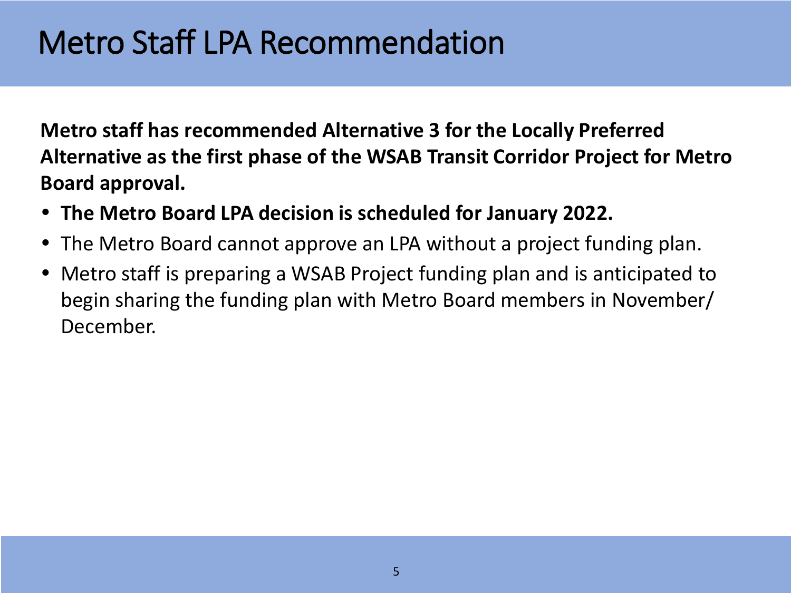### Metro Staff LPA Recommendation

**Metro staff has recommended Alternative 3 for the Locally Preferred Alternative as the first phase of the WSAB Transit Corridor Project for Metro Board approval.**

- **The Metro Board LPA decision is scheduled for January 2022.**
- The Metro Board cannot approve an LPA without a project funding plan.
- Metro staff is preparing a WSAB Project funding plan and is anticipated to begin sharing the funding plan with Metro Board members in November/ December.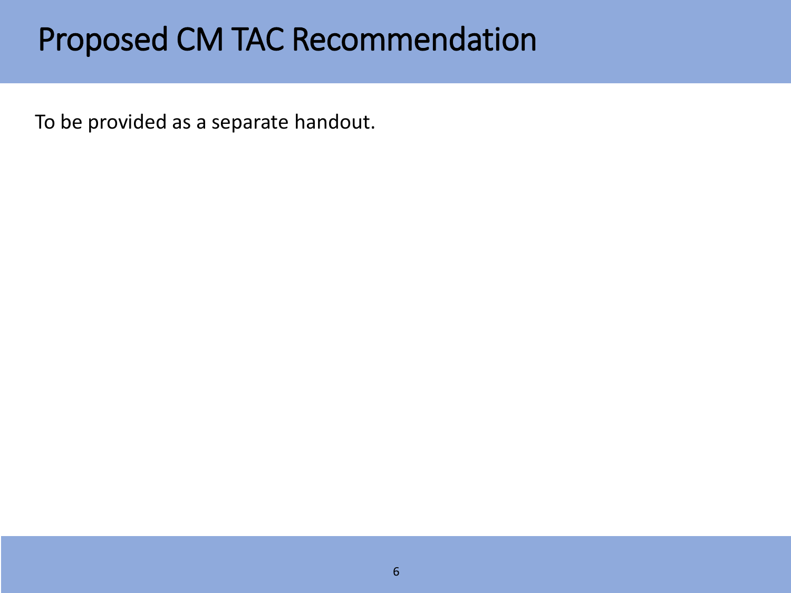### Proposed CM TAC Recommendation

To be provided as a separate handout.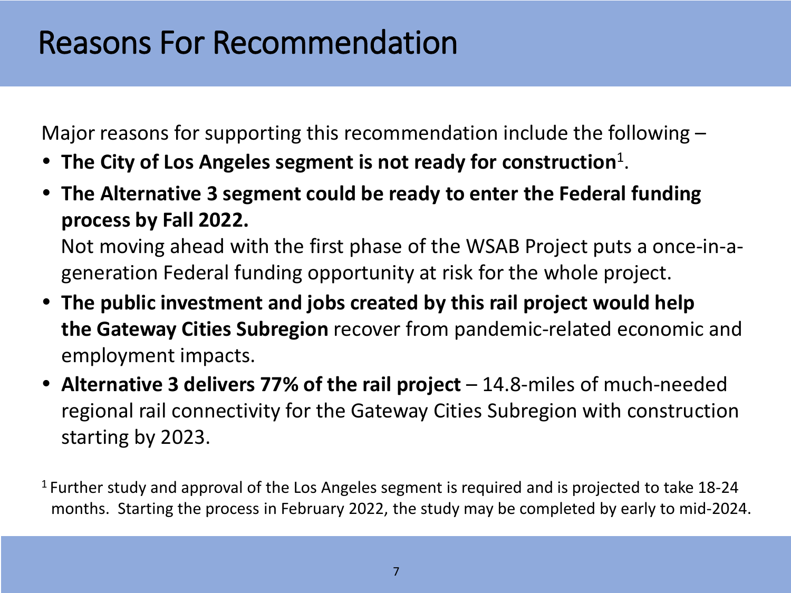### Reasons For Recommendation

Major reasons for supporting this recommendation include the following –

- **The City of Los Angeles segment is not ready for construction**1.
- **The Alternative 3 segment could be ready to enter the Federal funding process by Fall 2022.**

Not moving ahead with the first phase of the WSAB Project puts a once-in-ageneration Federal funding opportunity at risk for the whole project.

- **The public investment and jobs created by this rail project would help the Gateway Cities Subregion** recover from pandemic-related economic and employment impacts.
- **Alternative 3 delivers 77% of the rail project** 14.8-miles of much-needed regional rail connectivity for the Gateway Cities Subregion with construction starting by 2023.

 $1$  Further study and approval of the Los Angeles segment is required and is projected to take 18-24 months. Starting the process in February 2022, the study may be completed by early to mid-2024.